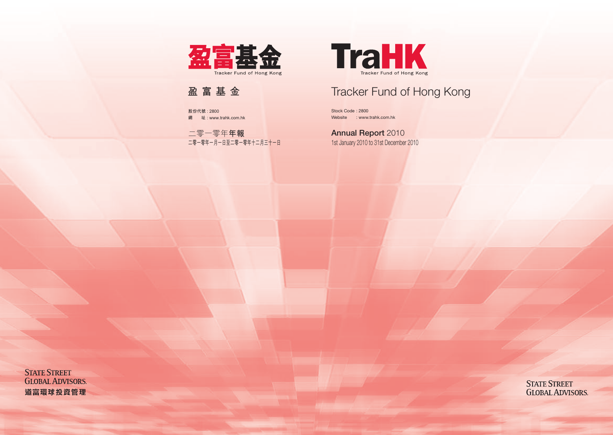

# Tracker Fund of Hong Kong

Stock Code : 2800 Website : www.trahk.com.hk

1st January 2010 to 31st December 2010 Annual Report 2010

> **STATE STREET GLOBAL ADVISORS.**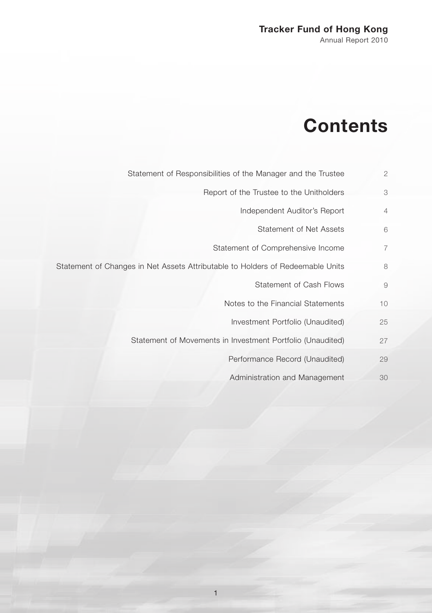## **Contents**

- Statement of Responsibilities of the Manager and the Trustee 2
	- Report of the Trustee to the Unitholders 3
		- Independent Auditor's Report 4
			- Statement of Net Assets 6
		- Statement of Comprehensive Income 7
- Statement of Changes in Net Assets Attributable to Holders of Redeemable Units 8
	- Statement of Cash Flows 9
	- Notes to the Financial Statements 10
		- Investment Portfolio (Unaudited) 25
	- Statement of Movements in Investment Portfolio (Unaudited) 27
		- Performance Record (Unaudited) 29
		- Administration and Management 30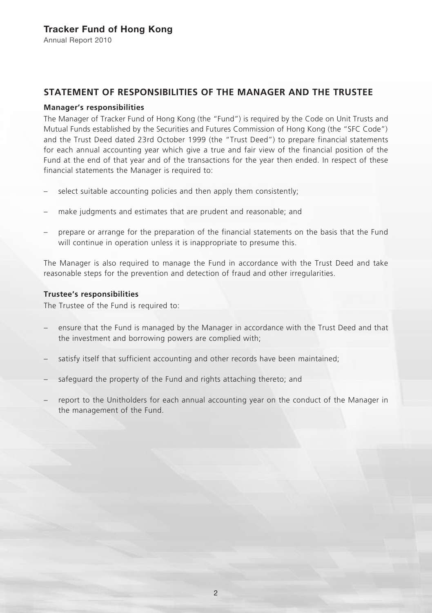### **STATEMENT OF RESPONSIBILITIES OF THE MANAGER AND THE TRUSTEE**

#### **Manager's responsibilities**

The Manager of Tracker Fund of Hong Kong (the "Fund") is required by the Code on Unit Trusts and Mutual Funds established by the Securities and Futures Commission of Hong Kong (the "SFC Code") and the Trust Deed dated 23rd October 1999 (the "Trust Deed") to prepare financial statements for each annual accounting year which give a true and fair view of the financial position of the Fund at the end of that year and of the transactions for the year then ended. In respect of these financial statements the Manager is required to:

- select suitable accounting policies and then apply them consistently;
- make judgments and estimates that are prudent and reasonable; and
- prepare or arrange for the preparation of the financial statements on the basis that the Fund will continue in operation unless it is inappropriate to presume this.

The Manager is also required to manage the Fund in accordance with the Trust Deed and take reasonable steps for the prevention and detection of fraud and other irregularities.

#### **Trustee's responsibilities**

The Trustee of the Fund is required to:

- ensure that the Fund is managed by the Manager in accordance with the Trust Deed and that the investment and borrowing powers are complied with;
- satisfy itself that sufficient accounting and other records have been maintained;
- safeguard the property of the Fund and rights attaching thereto; and
- report to the Unitholders for each annual accounting year on the conduct of the Manager in the management of the Fund.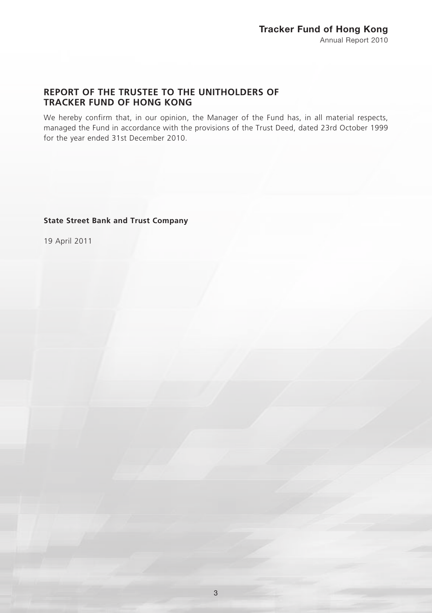### **REPORT OF THE TRUSTEE TO THE UNITHOLDERS OF TRACKER FUND OF HONG KONG**

We hereby confirm that, in our opinion, the Manager of the Fund has, in all material respects, managed the Fund in accordance with the provisions of the Trust Deed, dated 23rd October 1999 for the year ended 31st December 2010.

### **State Street Bank and Trust Company**

19 April 2011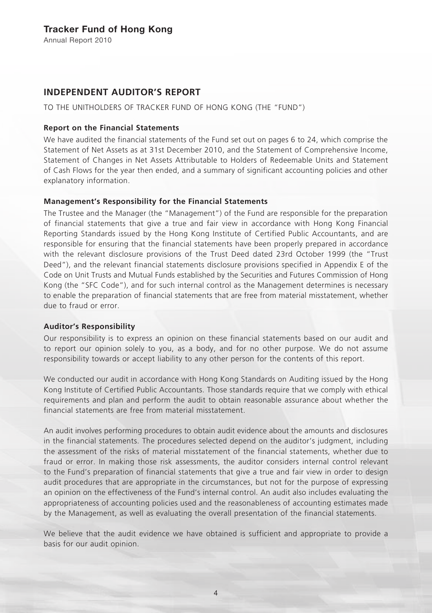### **INDEPENDENT AUDITOR'S REPORT**

TO THE UNITHOLDERS OF TRACKER FUND OF HONG KONG (THE "FUND")

#### **Report on the Financial Statements**

We have audited the financial statements of the Fund set out on pages 6 to 24, which comprise the Statement of Net Assets as at 31st December 2010, and the Statement of Comprehensive Income, Statement of Changes in Net Assets Attributable to Holders of Redeemable Units and Statement of Cash Flows for the year then ended, and a summary of significant accounting policies and other explanatory information.

#### **Management's Responsibility for the Financial Statements**

The Trustee and the Manager (the "Management") of the Fund are responsible for the preparation of financial statements that give a true and fair view in accordance with Hong Kong Financial Reporting Standards issued by the Hong Kong Institute of Certified Public Accountants, and are responsible for ensuring that the financial statements have been properly prepared in accordance with the relevant disclosure provisions of the Trust Deed dated 23rd October 1999 (the "Trust Deed"), and the relevant financial statements disclosure provisions specified in Appendix E of the Code on Unit Trusts and Mutual Funds established by the Securities and Futures Commission of Hong Kong (the "SFC Code"), and for such internal control as the Management determines is necessary to enable the preparation of financial statements that are free from material misstatement, whether due to fraud or error.

#### **Auditor's Responsibility**

Our responsibility is to express an opinion on these financial statements based on our audit and to report our opinion solely to you, as a body, and for no other purpose. We do not assume responsibility towards or accept liability to any other person for the contents of this report.

We conducted our audit in accordance with Hong Kong Standards on Auditing issued by the Hong Kong Institute of Certified Public Accountants. Those standards require that we comply with ethical requirements and plan and perform the audit to obtain reasonable assurance about whether the financial statements are free from material misstatement.

An audit involves performing procedures to obtain audit evidence about the amounts and disclosures in the financial statements. The procedures selected depend on the auditor's judgment, including the assessment of the risks of material misstatement of the financial statements, whether due to fraud or error. In making those risk assessments, the auditor considers internal control relevant to the Fund's preparation of financial statements that give a true and fair view in order to design audit procedures that are appropriate in the circumstances, but not for the purpose of expressing an opinion on the effectiveness of the Fund's internal control. An audit also includes evaluating the appropriateness of accounting policies used and the reasonableness of accounting estimates made by the Management, as well as evaluating the overall presentation of the financial statements.

We believe that the audit evidence we have obtained is sufficient and appropriate to provide a basis for our audit opinion.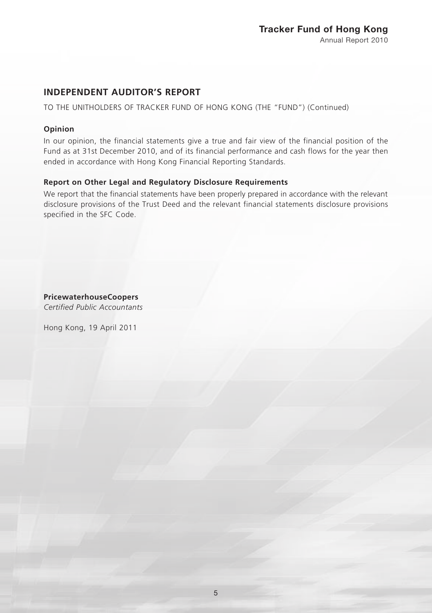### **INDEPENDENT AUDITOR'S REPORT**

TO THE UNITHOLDERS OF TRACKER FUND OF HONG KONG (THE "FUND") (Continued)

### **Opinion**

In our opinion, the financial statements give a true and fair view of the financial position of the Fund as at 31st December 2010, and of its financial performance and cash flows for the year then ended in accordance with Hong Kong Financial Reporting Standards.

### **Report on Other Legal and Regulatory Disclosure Requirements**

We report that the financial statements have been properly prepared in accordance with the relevant disclosure provisions of the Trust Deed and the relevant financial statements disclosure provisions specified in the SFC Code.

**PricewaterhouseCoopers** *Certified Public Accountants*

Hong Kong, 19 April 2011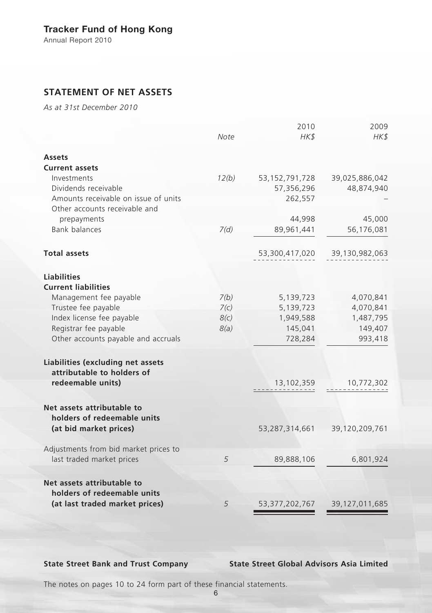### Tracker Fund of Hong Kong

Annual Report 2010

### **STATEMENT OF NET ASSETS**

*As at 31st December 2010*

|                                                                 | Note  | 2010<br>HK\$         | 2009<br>HK\$   |
|-----------------------------------------------------------------|-------|----------------------|----------------|
|                                                                 |       |                      |                |
| <b>Assets</b>                                                   |       |                      |                |
| <b>Current assets</b>                                           |       |                      |                |
| Investments                                                     | 12(b) | 53, 152, 791, 728    | 39,025,886,042 |
| Dividends receivable                                            |       | 57,356,296           | 48,874,940     |
| Amounts receivable on issue of units                            |       | 262,557              |                |
| Other accounts receivable and                                   |       |                      | 45,000         |
| prepayments<br><b>Bank balances</b>                             | 7(d)  | 44,998<br>89,961,441 | 56,176,081     |
|                                                                 |       |                      |                |
| <b>Total assets</b>                                             |       | 53,300,417,020       | 39,130,982,063 |
| <b>Liabilities</b>                                              |       |                      |                |
| <b>Current liabilities</b>                                      |       |                      |                |
| Management fee payable                                          | 7(b)  | 5,139,723            | 4,070,841      |
| Trustee fee payable                                             | 7(c)  | 5,139,723            | 4,070,841      |
| Index license fee payable                                       | 8(c)  | 1,949,588            | 1,487,795      |
| Registrar fee payable                                           | 8(a)  | 145,041              | 149,407        |
| Other accounts payable and accruals                             |       | 728,284              | 993,418        |
| Liabilities (excluding net assets<br>attributable to holders of |       |                      |                |
| redeemable units)                                               |       | 13,102,359           | 10,772,302     |
| Net assets attributable to<br>holders of redeemable units       |       |                      |                |
| (at bid market prices)                                          |       | 53,287,314,661       | 39,120,209,761 |
| Adjustments from bid market prices to                           |       |                      |                |
| last traded market prices                                       | 5     | 89,888,106           | 6,801,924      |
| Net assets attributable to                                      |       |                      |                |
| holders of redeemable units                                     |       |                      |                |
| (at last traded market prices)                                  | 5     | 53,377,202,767       | 39,127,011,685 |

**State Street Bank and Trust Company State Street Global Advisors Asia Limited**

The notes on pages 10 to 24 form part of these financial statements.

6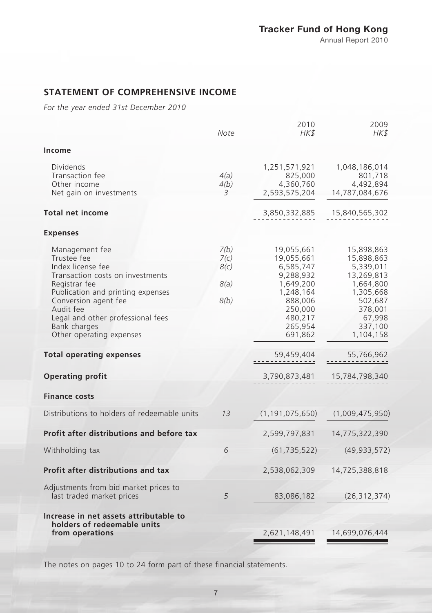### **STATEMENT OF COMPREHENSIVE INCOME**

*For the year ended 31st December 2010*

|                                                                                                                                                                                                                                                                    | Note                                 | 2010<br>HK\$                                                                                                                        | 2009<br>HK\$                                                                                                                          |
|--------------------------------------------------------------------------------------------------------------------------------------------------------------------------------------------------------------------------------------------------------------------|--------------------------------------|-------------------------------------------------------------------------------------------------------------------------------------|---------------------------------------------------------------------------------------------------------------------------------------|
| Income                                                                                                                                                                                                                                                             |                                      |                                                                                                                                     |                                                                                                                                       |
| <b>Dividends</b><br>Transaction fee<br>Other income<br>Net gain on investments                                                                                                                                                                                     | 4(a)<br>4(b)<br>3                    | 1,251,571,921<br>825,000<br>4,360,760<br>2,593,575,204                                                                              | 1,048,186,014<br>801,718<br>4,492,894<br>14,787,084,676                                                                               |
| <b>Total net income</b>                                                                                                                                                                                                                                            |                                      | 3,850,332,885                                                                                                                       | 15,840,565,302                                                                                                                        |
| <b>Expenses</b>                                                                                                                                                                                                                                                    |                                      |                                                                                                                                     |                                                                                                                                       |
| Management fee<br>Trustee fee<br>Index license fee<br>Transaction costs on investments<br>Registrar fee<br>Publication and printing expenses<br>Conversion agent fee<br>Audit fee<br>Legal and other professional fees<br>Bank charges<br>Other operating expenses | 7(b)<br>7(c)<br>8(c)<br>8(a)<br>8(b) | 19,055,661<br>19,055,661<br>6,585,747<br>9,288,932<br>1,649,200<br>1,248,164<br>888,006<br>250,000<br>480,217<br>265,954<br>691,862 | 15,898,863<br>15,898,863<br>5,339,011<br>13,269,813<br>1,664,800<br>1,305,668<br>502,687<br>378,001<br>67,998<br>337,100<br>1,104,158 |
| <b>Total operating expenses</b>                                                                                                                                                                                                                                    |                                      | 59,459,404                                                                                                                          | 55,766,962                                                                                                                            |
| <b>Operating profit</b>                                                                                                                                                                                                                                            |                                      | 3,790,873,481                                                                                                                       | 15,784,798,340                                                                                                                        |
| <b>Finance costs</b>                                                                                                                                                                                                                                               |                                      |                                                                                                                                     |                                                                                                                                       |
| Distributions to holders of redeemable units                                                                                                                                                                                                                       | 13                                   | (1, 191, 075, 650)                                                                                                                  | (1,009,475,950)                                                                                                                       |
| Profit after distributions and before tax                                                                                                                                                                                                                          |                                      | 2,599,797,831                                                                                                                       | 14,775,322,390                                                                                                                        |
| Withholding tax                                                                                                                                                                                                                                                    | 6                                    | (61, 735, 522)                                                                                                                      | (49, 933, 572)                                                                                                                        |
| <b>Profit after distributions and tax</b>                                                                                                                                                                                                                          |                                      | 2,538,062,309                                                                                                                       | 14,725,388,818                                                                                                                        |
| Adjustments from bid market prices to<br>last traded market prices                                                                                                                                                                                                 | 5                                    | 83,086,182                                                                                                                          | (26, 312, 374)                                                                                                                        |
| Increase in net assets attributable to<br>holders of redeemable units<br>from operations                                                                                                                                                                           |                                      | 2,621,148,491                                                                                                                       | 14,699,076,444                                                                                                                        |

The notes on pages 10 to 24 form part of these financial statements.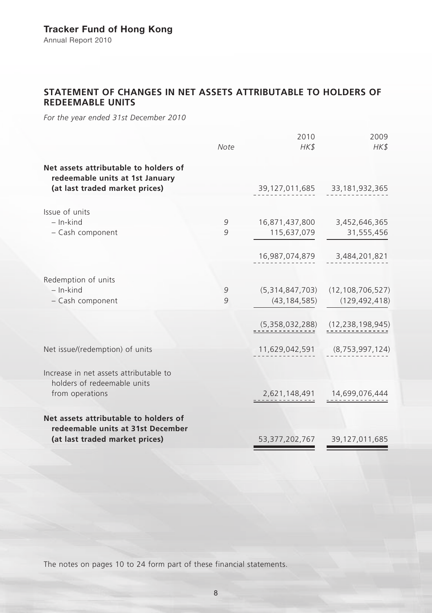### **STATEMENT OF CHANGES IN NET ASSETS ATTRIBUTABLE TO HOLDERS OF REDEEMABLE UNITS**

*For the year ended 31st December 2010*

|                                                                          |      | 2010            | 2009                                 |
|--------------------------------------------------------------------------|------|-----------------|--------------------------------------|
|                                                                          | Note | HK\$            | HK\$                                 |
| Net assets attributable to holders of<br>redeemable units at 1st January |      |                 |                                      |
| (at last traded market prices)                                           |      |                 | 39,127,011,685 33,181,932,365        |
| Issue of units                                                           |      |                 |                                      |
| $-$ In-kind                                                              | 9    | 16,871,437,800  | 3,452,646,365                        |
| - Cash component                                                         | 9    | 115,637,079     | 31,555,456                           |
|                                                                          |      | 16,987,074,879  | 3,484,201,821                        |
| Redemption of units                                                      |      |                 |                                      |
| $-$ In-kind                                                              | 9    |                 | $(5,314,847,703)$ $(12,108,706,527)$ |
| - Cash component                                                         | 9    | (43, 184, 585)  | (129, 492, 418)                      |
|                                                                          |      | (5,358,032,288) | (12, 238, 198, 945)                  |
| Net issue/(redemption) of units                                          |      | 11,629,042,591  | (8, 753, 997, 124)                   |
| Increase in net assets attributable to<br>holders of redeemable units    |      |                 |                                      |
| from operations                                                          |      | 2,621,148,491   | 14,699,076,444                       |
| Net assets attributable to holders of                                    |      |                 |                                      |
| redeemable units at 31st December                                        |      |                 |                                      |
| (at last traded market prices)                                           |      | 53,377,202,767  | 39,127,011,685                       |
|                                                                          |      |                 |                                      |

The notes on pages 10 to 24 form part of these financial statements.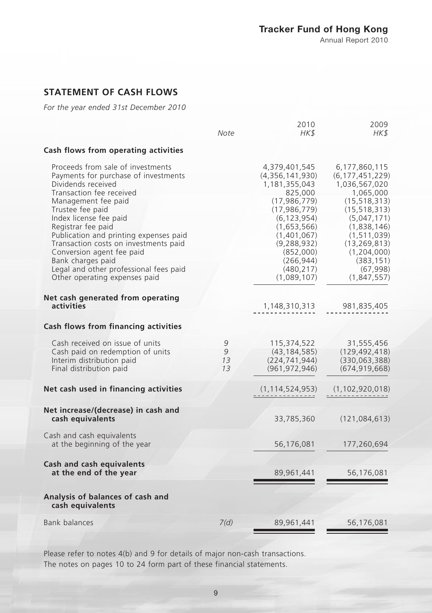### **STATEMENT OF CASH FLOWS**

*For the year ended 31st December 2010*

|                                                                                                                                                                                                                                                              | Note               | 2010<br>HK\$                                                                                                         | 2009<br>HK\$                                                                                                          |
|--------------------------------------------------------------------------------------------------------------------------------------------------------------------------------------------------------------------------------------------------------------|--------------------|----------------------------------------------------------------------------------------------------------------------|-----------------------------------------------------------------------------------------------------------------------|
| Cash flows from operating activities                                                                                                                                                                                                                         |                    |                                                                                                                      |                                                                                                                       |
| Proceeds from sale of investments<br>Payments for purchase of investments<br>Dividends received<br>Transaction fee received<br>Management fee paid<br>Trustee fee paid                                                                                       |                    | 4,379,401,545<br>(4,356,141,930)<br>1,181,355,043<br>825,000<br>(17, 986, 779)<br>(17, 986, 779)                     | 6,177,860,115<br>(6, 177, 451, 229)<br>1,036,567,020<br>1,065,000<br>(15, 518, 313)<br>(15, 518, 313)                 |
| Index license fee paid<br>Registrar fee paid<br>Publication and printing expenses paid<br>Transaction costs on investments paid<br>Conversion agent fee paid<br>Bank charges paid<br>Legal and other professional fees paid<br>Other operating expenses paid |                    | (6, 123, 954)<br>(1,653,566)<br>(1,401,067)<br>(9, 288, 932)<br>(852,000)<br>(266, 944)<br>(480, 217)<br>(1,089,107) | (5,047,171)<br>(1,838,146)<br>(1, 511, 039)<br>(13, 269, 813)<br>(1,204,000)<br>(383, 151)<br>(67,998)<br>(1,847,557) |
| Net cash generated from operating<br>activities                                                                                                                                                                                                              |                    | 1,148,310,313                                                                                                        | 981,835,405                                                                                                           |
| Cash flows from financing activities                                                                                                                                                                                                                         |                    |                                                                                                                      |                                                                                                                       |
| Cash received on issue of units<br>Cash paid on redemption of units<br>Interim distribution paid<br>Final distribution paid                                                                                                                                  | 9<br>9<br>13<br>13 | 115,374,522<br>(43, 184, 585)<br>(224, 741, 944)<br>(961, 972, 946)                                                  | 31,555,456<br>(129, 492, 418)<br>(330,063,388)<br>(674, 919, 668)                                                     |
| Net cash used in financing activities                                                                                                                                                                                                                        |                    | (1, 114, 524, 953)<br>------------                                                                                   | (1,102,920,018)                                                                                                       |
| Net increase/(decrease) in cash and<br>cash equivalents                                                                                                                                                                                                      |                    | 33,785,360                                                                                                           | (121, 084, 613)                                                                                                       |
| Cash and cash equivalents<br>at the beginning of the year                                                                                                                                                                                                    |                    | 56,176,081                                                                                                           | 177,260,694                                                                                                           |
| Cash and cash equivalents<br>at the end of the year                                                                                                                                                                                                          |                    | 89,961,441                                                                                                           | 56,176,081                                                                                                            |
| Analysis of balances of cash and<br>cash equivalents                                                                                                                                                                                                         |                    |                                                                                                                      |                                                                                                                       |
| Bank balances                                                                                                                                                                                                                                                | 7(d)               | 89,961,441                                                                                                           | 56,176,081                                                                                                            |
|                                                                                                                                                                                                                                                              |                    |                                                                                                                      |                                                                                                                       |

Please refer to notes 4(b) and 9 for details of major non-cash transactions. The notes on pages 10 to 24 form part of these financial statements.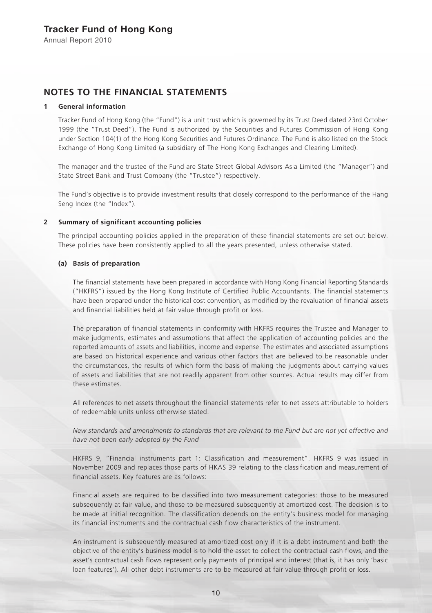### **NOTES TO THE FINANCIAL STATEMENTS**

#### **1 General information**

Tracker Fund of Hong Kong (the "Fund") is a unit trust which is governed by its Trust Deed dated 23rd October 1999 (the "Trust Deed"). The Fund is authorized by the Securities and Futures Commission of Hong Kong under Section 104(1) of the Hong Kong Securities and Futures Ordinance. The Fund is also listed on the Stock Exchange of Hong Kong Limited (a subsidiary of The Hong Kong Exchanges and Clearing Limited).

The manager and the trustee of the Fund are State Street Global Advisors Asia Limited (the "Manager") and State Street Bank and Trust Company (the "Trustee") respectively.

The Fund's objective is to provide investment results that closely correspond to the performance of the Hang Seng Index (the "Index").

#### **2 Summary of significant accounting policies**

The principal accounting policies applied in the preparation of these financial statements are set out below. These policies have been consistently applied to all the years presented, unless otherwise stated.

#### **(a) Basis of preparation**

The financial statements have been prepared in accordance with Hong Kong Financial Reporting Standards ("HKFRS") issued by the Hong Kong Institute of Certified Public Accountants. The financial statements have been prepared under the historical cost convention, as modified by the revaluation of financial assets and financial liabilities held at fair value through profit or loss.

The preparation of financial statements in conformity with HKFRS requires the Trustee and Manager to make judgments, estimates and assumptions that affect the application of accounting policies and the reported amounts of assets and liabilities, income and expense. The estimates and associated assumptions are based on historical experience and various other factors that are believed to be reasonable under the circumstances, the results of which form the basis of making the judgments about carrying values of assets and liabilities that are not readily apparent from other sources. Actual results may differ from these estimates.

All references to net assets throughout the financial statements refer to net assets attributable to holders of redeemable units unless otherwise stated.

*New standards and amendments to standards that are relevant to the Fund but are not yet effective and have not been early adopted by the Fund*

HKFRS 9, "Financial instruments part 1: Classification and measurement". HKFRS 9 was issued in November 2009 and replaces those parts of HKAS 39 relating to the classification and measurement of financial assets. Key features are as follows:

Financial assets are required to be classified into two measurement categories: those to be measured subsequently at fair value, and those to be measured subsequently at amortized cost. The decision is to be made at initial recognition. The classification depends on the entity's business model for managing its financial instruments and the contractual cash flow characteristics of the instrument.

An instrument is subsequently measured at amortized cost only if it is a debt instrument and both the objective of the entity's business model is to hold the asset to collect the contractual cash flows, and the asset's contractual cash flows represent only payments of principal and interest (that is, it has only 'basic loan features'). All other debt instruments are to be measured at fair value through profit or loss.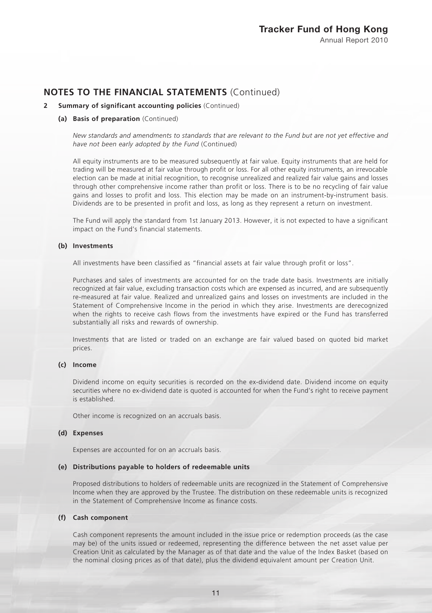#### **2 Summary of significant accounting policies** (Continued)

#### **(a) Basis of preparation** (Continued)

*New standards and amendments to standards that are relevant to the Fund but are not yet effective and have not been early adopted by the Fund* (Continued)

All equity instruments are to be measured subsequently at fair value. Equity instruments that are held for trading will be measured at fair value through profit or loss. For all other equity instruments, an irrevocable election can be made at initial recognition, to recognise unrealized and realized fair value gains and losses through other comprehensive income rather than profit or loss. There is to be no recycling of fair value gains and losses to profit and loss. This election may be made on an instrument-by-instrument basis. Dividends are to be presented in profit and loss, as long as they represent a return on investment.

The Fund will apply the standard from 1st January 2013. However, it is not expected to have a significant impact on the Fund's financial statements.

#### **(b) Investments**

All investments have been classified as "financial assets at fair value through profit or loss".

Purchases and sales of investments are accounted for on the trade date basis. Investments are initially recognized at fair value, excluding transaction costs which are expensed as incurred, and are subsequently re-measured at fair value. Realized and unrealized gains and losses on investments are included in the Statement of Comprehensive Income in the period in which they arise. Investments are derecognized when the rights to receive cash flows from the investments have expired or the Fund has transferred substantially all risks and rewards of ownership.

Investments that are listed or traded on an exchange are fair valued based on quoted bid market prices.

#### **(c) Income**

Dividend income on equity securities is recorded on the ex-dividend date. Dividend income on equity securities where no ex-dividend date is quoted is accounted for when the Fund's right to receive payment is established.

Other income is recognized on an accruals basis.

#### **(d) Expenses**

Expenses are accounted for on an accruals basis.

#### **(e) Distributions payable to holders of redeemable units**

Proposed distributions to holders of redeemable units are recognized in the Statement of Comprehensive Income when they are approved by the Trustee. The distribution on these redeemable units is recognized in the Statement of Comprehensive Income as finance costs.

#### **(f) Cash component**

Cash component represents the amount included in the issue price or redemption proceeds (as the case may be) of the units issued or redeemed, representing the difference between the net asset value per Creation Unit as calculated by the Manager as of that date and the value of the Index Basket (based on the nominal closing prices as of that date), plus the dividend equivalent amount per Creation Unit.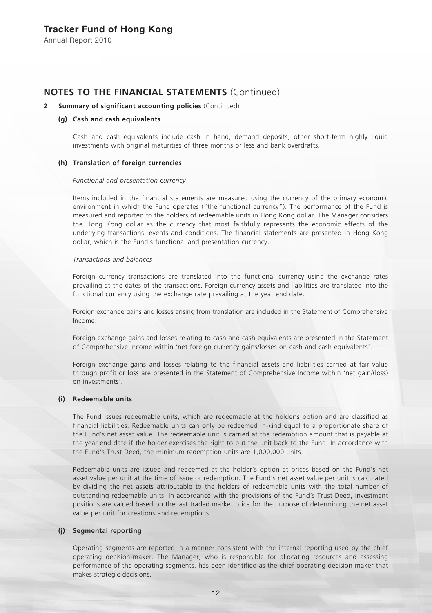### **NOTES TO THE FINANCIAL STATEMENTS** (Continued)

#### **2 Summary of significant accounting policies** (Continued)

#### **(g) Cash and cash equivalents**

Cash and cash equivalents include cash in hand, demand deposits, other short-term highly liquid investments with original maturities of three months or less and bank overdrafts.

#### **(h) Translation of foreign currencies**

#### *Functional and presentation currency*

Items included in the financial statements are measured using the currency of the primary economic environment in which the Fund operates ("the functional currency"). The performance of the Fund is measured and reported to the holders of redeemable units in Hong Kong dollar. The Manager considers the Hong Kong dollar as the currency that most faithfully represents the economic effects of the underlying transactions, events and conditions. The financial statements are presented in Hong Kong dollar, which is the Fund's functional and presentation currency.

#### *Transactions and balances*

Foreign currency transactions are translated into the functional currency using the exchange rates prevailing at the dates of the transactions. Foreign currency assets and liabilities are translated into the functional currency using the exchange rate prevailing at the year end date.

Foreign exchange gains and losses arising from translation are included in the Statement of Comprehensive Income.

Foreign exchange gains and losses relating to cash and cash equivalents are presented in the Statement of Comprehensive Income within 'net foreign currency gains/losses on cash and cash equivalents'.

Foreign exchange gains and losses relating to the financial assets and liabilities carried at fair value through profit or loss are presented in the Statement of Comprehensive Income within 'net gain/(loss) on investments'.

#### **(i) Redeemable units**

The Fund issues redeemable units, which are redeemable at the holder's option and are classified as financial liabilities. Redeemable units can only be redeemed in-kind equal to a proportionate share of the Fund's net asset value. The redeemable unit is carried at the redemption amount that is payable at the year end date if the holder exercises the right to put the unit back to the Fund. In accordance with the Fund's Trust Deed, the minimum redemption units are 1,000,000 units.

Redeemable units are issued and redeemed at the holder's option at prices based on the Fund's net asset value per unit at the time of issue or redemption. The Fund's net asset value per unit is calculated by dividing the net assets attributable to the holders of redeemable units with the total number of outstanding redeemable units. In accordance with the provisions of the Fund's Trust Deed, investment positions are valued based on the last traded market price for the purpose of determining the net asset value per unit for creations and redemptions.

#### **(j) Segmental reporting**

Operating segments are reported in a manner consistent with the internal reporting used by the chief operating decision-maker. The Manager, who is responsible for allocating resources and assessing performance of the operating segments, has been identified as the chief operating decision-maker that makes strategic decisions.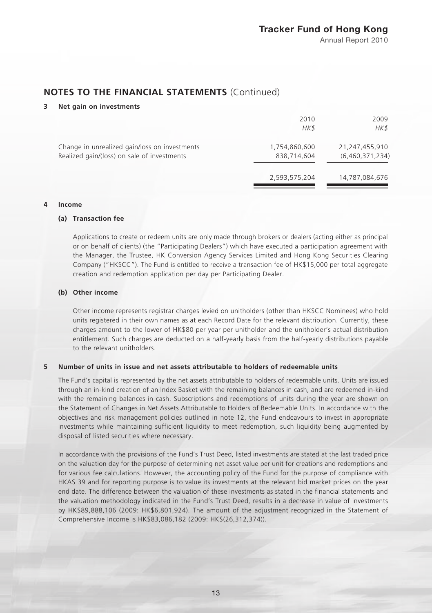#### **3 Net gain on investments**

|                                                                                              | 2010<br>HK\$                 | 2009<br>HK\$                      |
|----------------------------------------------------------------------------------------------|------------------------------|-----------------------------------|
| Change in unrealized gain/loss on investments<br>Realized gain/(loss) on sale of investments | 1,754,860,600<br>838.714.604 | 21,247,455,910<br>(6,460,371,234) |
|                                                                                              | 2,593,575,204                | 14,787,084,676                    |

#### **4 Income**

#### **(a) Transaction fee**

Applications to create or redeem units are only made through brokers or dealers (acting either as principal or on behalf of clients) (the "Participating Dealers") which have executed a participation agreement with the Manager, the Trustee, HK Conversion Agency Services Limited and Hong Kong Securities Clearing Company ("HKSCC"). The Fund is entitled to receive a transaction fee of HK\$15,000 per total aggregate creation and redemption application per day per Participating Dealer.

#### **(b) Other income**

Other income represents registrar charges levied on unitholders (other than HKSCC Nominees) who hold units registered in their own names as at each Record Date for the relevant distribution. Currently, these charges amount to the lower of HK\$80 per year per unitholder and the unitholder's actual distribution entitlement. Such charges are deducted on a half-yearly basis from the half-yearly distributions payable to the relevant unitholders.

#### **5 Number of units in issue and net assets attributable to holders of redeemable units**

The Fund's capital is represented by the net assets attributable to holders of redeemable units. Units are issued through an in-kind creation of an Index Basket with the remaining balances in cash, and are redeemed in-kind with the remaining balances in cash. Subscriptions and redemptions of units during the year are shown on the Statement of Changes in Net Assets Attributable to Holders of Redeemable Units. In accordance with the objectives and risk management policies outlined in note 12, the Fund endeavours to invest in appropriate investments while maintaining sufficient liquidity to meet redemption, such liquidity being augmented by disposal of listed securities where necessary.

In accordance with the provisions of the Fund's Trust Deed, listed investments are stated at the last traded price on the valuation day for the purpose of determining net asset value per unit for creations and redemptions and for various fee calculations. However, the accounting policy of the Fund for the purpose of compliance with HKAS 39 and for reporting purpose is to value its investments at the relevant bid market prices on the year end date. The difference between the valuation of these investments as stated in the financial statements and the valuation methodology indicated in the Fund's Trust Deed, results in a decrease in value of investments by HK\$89,888,106 (2009: HK\$6,801,924). The amount of the adjustment recognized in the Statement of Comprehensive Income is HK\$83,086,182 (2009: HK\$(26,312,374)).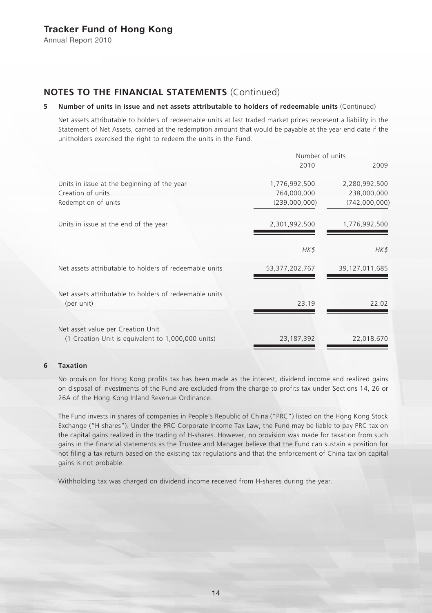### **NOTES TO THE FINANCIAL STATEMENTS** (Continued)

#### **5 Number of units in issue and net assets attributable to holders of redeemable units** (Continued)

Net assets attributable to holders of redeemable units at last traded market prices represent a liability in the Statement of Net Assets, carried at the redemption amount that would be payable at the year end date if the unitholders exercised the right to redeem the units in the Fund.

|                                                        | Number of units |                |
|--------------------------------------------------------|-----------------|----------------|
|                                                        | 2010            | 2009           |
| Units in issue at the beginning of the year            | 1,776,992,500   | 2,280,992,500  |
| Creation of units                                      | 764,000,000     | 238,000,000    |
| Redemption of units                                    | (239,000,000)   | (742,000,000)  |
| Units in issue at the end of the year                  | 2,301,992,500   | 1,776,992,500  |
|                                                        | HK\$            | HK\$           |
| Net assets attributable to holders of redeemable units | 53,377,202,767  | 39,127,011,685 |
| Net assets attributable to holders of redeemable units | 23.19           | 22.02          |
| (per unit)                                             |                 |                |
| Net asset value per Creation Unit                      |                 |                |
| (1 Creation Unit is equivalent to 1,000,000 units)     | 23, 187, 392    | 22,018,670     |

#### **6 Taxation**

No provision for Hong Kong profits tax has been made as the interest, dividend income and realized gains on disposal of investments of the Fund are excluded from the charge to profits tax under Sections 14, 26 or 26A of the Hong Kong Inland Revenue Ordinance.

The Fund invests in shares of companies in People's Republic of China ("PRC") listed on the Hong Kong Stock Exchange ("H-shares"). Under the PRC Corporate Income Tax Law, the Fund may be liable to pay PRC tax on the capital gains realized in the trading of H-shares. However, no provision was made for taxation from such gains in the financial statements as the Trustee and Manager believe that the Fund can sustain a position for not filing a tax return based on the existing tax regulations and that the enforcement of China tax on capital gains is not probable.

Withholding tax was charged on dividend income received from H-shares during the year.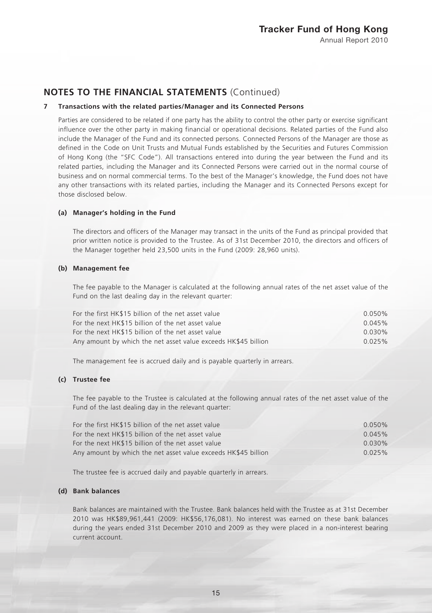#### **7 Transactions with the related parties/Manager and its Connected Persons**

Parties are considered to be related if one party has the ability to control the other party or exercise significant influence over the other party in making financial or operational decisions. Related parties of the Fund also include the Manager of the Fund and its connected persons. Connected Persons of the Manager are those as defined in the Code on Unit Trusts and Mutual Funds established by the Securities and Futures Commission of Hong Kong (the "SFC Code"). All transactions entered into during the year between the Fund and its related parties, including the Manager and its Connected Persons were carried out in the normal course of business and on normal commercial terms. To the best of the Manager's knowledge, the Fund does not have any other transactions with its related parties, including the Manager and its Connected Persons except for those disclosed below.

#### **(a) Manager's holding in the Fund**

The directors and officers of the Manager may transact in the units of the Fund as principal provided that prior written notice is provided to the Trustee. As of 31st December 2010, the directors and officers of the Manager together held 23,500 units in the Fund (2009: 28,960 units).

#### **(b) Management fee**

The fee payable to the Manager is calculated at the following annual rates of the net asset value of the Fund on the last dealing day in the relevant quarter:

| For the first HK\$15 billion of the net asset value            | $0.050\%$ |
|----------------------------------------------------------------|-----------|
| For the next HK\$15 billion of the net asset value             | 0.045%    |
| For the next HK\$15 billion of the net asset value             | $0.030\%$ |
| Any amount by which the net asset value exceeds HK\$45 billion | 0.025%    |

The management fee is accrued daily and is payable quarterly in arrears.

#### **(c) Trustee fee**

The fee payable to the Trustee is calculated at the following annual rates of the net asset value of the Fund of the last dealing day in the relevant quarter:

| For the first HK\$15 billion of the net asset value            | $0.050\%$ |
|----------------------------------------------------------------|-----------|
| For the next HK\$15 billion of the net asset value             | 0.045%    |
| For the next HK\$15 billion of the net asset value             | 0.030%    |
| Any amount by which the net asset value exceeds HK\$45 billion | 0.025%    |

The trustee fee is accrued daily and payable quarterly in arrears.

#### **(d) Bank balances**

Bank balances are maintained with the Trustee. Bank balances held with the Trustee as at 31st December 2010 was HK\$89,961,441 (2009: HK\$56,176,081). No interest was earned on these bank balances during the years ended 31st December 2010 and 2009 as they were placed in a non-interest bearing current account.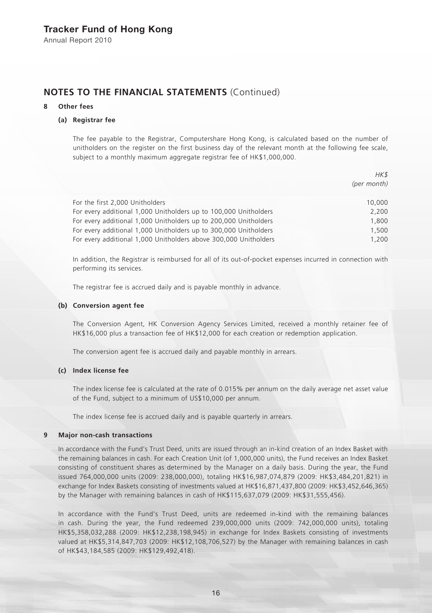### **NOTES TO THE FINANCIAL STATEMENTS** (Continued)

#### **8 Other fees**

#### **(a) Registrar fee**

The fee payable to the Registrar, Computershare Hong Kong, is calculated based on the number of unitholders on the register on the first business day of the relevant month at the following fee scale, subject to a monthly maximum aggregate registrar fee of HK\$1,000,000.

|                                                                  | HK\$        |
|------------------------------------------------------------------|-------------|
|                                                                  | (per month) |
| For the first 2,000 Unitholders                                  | 10,000      |
| For every additional 1,000 Unitholders up to 100,000 Unitholders | 2.200       |
| For every additional 1,000 Unitholders up to 200,000 Unitholders | 1,800       |
| For every additional 1,000 Unitholders up to 300,000 Unitholders | 1,500       |
| For every additional 1,000 Unitholders above 300,000 Unitholders | 1,200       |

In addition, the Registrar is reimbursed for all of its out-of-pocket expenses incurred in connection with performing its services.

The registrar fee is accrued daily and is payable monthly in advance.

#### **(b) Conversion agent fee**

The Conversion Agent, HK Conversion Agency Services Limited, received a monthly retainer fee of HK\$16,000 plus a transaction fee of HK\$12,000 for each creation or redemption application.

The conversion agent fee is accrued daily and payable monthly in arrears.

#### **(c) Index license fee**

The index license fee is calculated at the rate of 0.015% per annum on the daily average net asset value of the Fund, subject to a minimum of US\$10,000 per annum.

The index license fee is accrued daily and is payable quarterly in arrears.

#### **9 Major non-cash transactions**

In accordance with the Fund's Trust Deed, units are issued through an in-kind creation of an Index Basket with the remaining balances in cash. For each Creation Unit (of 1,000,000 units), the Fund receives an Index Basket consisting of constituent shares as determined by the Manager on a daily basis. During the year, the Fund issued 764,000,000 units (2009: 238,000,000), totaling HK\$16,987,074,879 (2009: HK\$3,484,201,821) in exchange for Index Baskets consisting of investments valued at HK\$16,871,437,800 (2009: HK\$3,452,646,365) by the Manager with remaining balances in cash of HK\$115,637,079 (2009: HK\$31,555,456).

In accordance with the Fund's Trust Deed, units are redeemed in-kind with the remaining balances in cash. During the year, the Fund redeemed 239,000,000 units (2009: 742,000,000 units), totaling HK\$5,358,032,288 (2009: HK\$12,238,198,945) in exchange for Index Baskets consisting of investments valued at HK\$5,314,847,703 (2009: HK\$12,108,706,527) by the Manager with remaining balances in cash of HK\$43,184,585 (2009: HK\$129,492,418).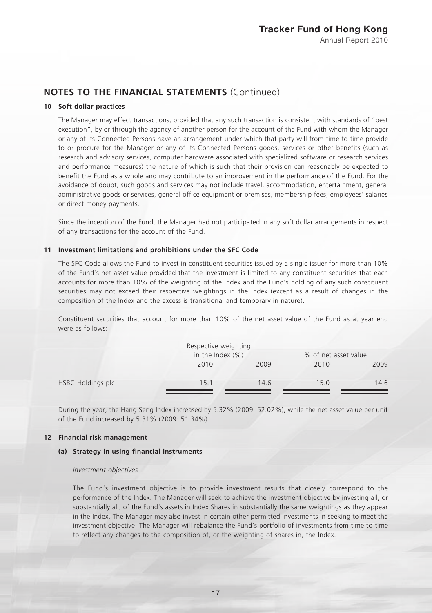#### **10 Soft dollar practices**

The Manager may effect transactions, provided that any such transaction is consistent with standards of "best execution", by or through the agency of another person for the account of the Fund with whom the Manager or any of its Connected Persons have an arrangement under which that party will from time to time provide to or procure for the Manager or any of its Connected Persons goods, services or other benefits (such as research and advisory services, computer hardware associated with specialized software or research services and performance measures) the nature of which is such that their provision can reasonably be expected to benefit the Fund as a whole and may contribute to an improvement in the performance of the Fund. For the avoidance of doubt, such goods and services may not include travel, accommodation, entertainment, general administrative goods or services, general office equipment or premises, membership fees, employees' salaries or direct money payments.

Since the inception of the Fund, the Manager had not participated in any soft dollar arrangements in respect of any transactions for the account of the Fund.

#### **11 Investment limitations and prohibitions under the SFC Code**

The SFC Code allows the Fund to invest in constituent securities issued by a single issuer for more than 10% of the Fund's net asset value provided that the investment is limited to any constituent securities that each accounts for more than 10% of the weighting of the Index and the Fund's holding of any such constituent securities may not exceed their respective weightings in the Index (except as a result of changes in the composition of the Index and the excess is transitional and temporary in nature).

Constituent securities that account for more than 10% of the net asset value of the Fund as at year end were as follows:

|                   | Respective weighting |      |                      |      |
|-------------------|----------------------|------|----------------------|------|
|                   | in the Index $(\% )$ |      | % of net asset value |      |
|                   | 2010                 | 2009 | 2010                 | 2009 |
| HSBC Holdings plc | 15.1                 | 14.6 | 15.0                 | 14.6 |

During the year, the Hang Seng Index increased by 5.32% (2009: 52.02%), while the net asset value per unit of the Fund increased by 5.31% (2009: 51.34%).

#### **12 Financial risk management**

#### **(a) Strategy in using financial instruments**

#### *Investment objectives*

The Fund's investment objective is to provide investment results that closely correspond to the performance of the Index. The Manager will seek to achieve the investment objective by investing all, or substantially all, of the Fund's assets in Index Shares in substantially the same weightings as they appear in the Index. The Manager may also invest in certain other permitted investments in seeking to meet the investment objective. The Manager will rebalance the Fund's portfolio of investments from time to time to reflect any changes to the composition of, or the weighting of shares in, the Index.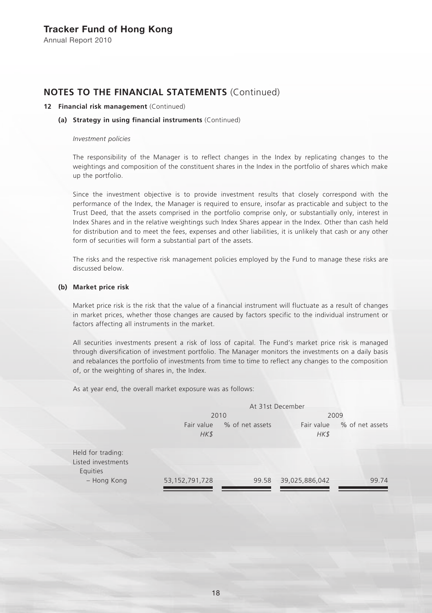### **NOTES TO THE FINANCIAL STATEMENTS** (Continued)

#### **12 Financial risk management** (Continued)

#### **(a) Strategy in using financial instruments** (Continued)

#### *Investment policies*

The responsibility of the Manager is to reflect changes in the Index by replicating changes to the weightings and composition of the constituent shares in the Index in the portfolio of shares which make up the portfolio.

Since the investment objective is to provide investment results that closely correspond with the performance of the Index, the Manager is required to ensure, insofar as practicable and subject to the Trust Deed, that the assets comprised in the portfolio comprise only, or substantially only, interest in Index Shares and in the relative weightings such Index Shares appear in the Index. Other than cash held for distribution and to meet the fees, expenses and other liabilities, it is unlikely that cash or any other form of securities will form a substantial part of the assets.

The risks and the respective risk management policies employed by the Fund to manage these risks are discussed below.

#### **(b) Market price risk**

Market price risk is the risk that the value of a financial instrument will fluctuate as a result of changes in market prices, whether those changes are caused by factors specific to the individual instrument or factors affecting all instruments in the market.

All securities investments present a risk of loss of capital. The Fund's market price risk is managed through diversification of investment portfolio. The Manager monitors the investments on a daily basis and rebalances the portfolio of investments from time to time to reflect any changes to the composition of, or the weighting of shares in, the Index.

As at year end, the overall market exposure was as follows:

|                                                     | At 31st December  |                 |                |                 |
|-----------------------------------------------------|-------------------|-----------------|----------------|-----------------|
|                                                     |                   | 2010            |                | 2009            |
|                                                     | Fair value        | % of net assets | Fair value     | % of net assets |
|                                                     | HK\$              |                 | HK\$           |                 |
| Held for trading:<br>Listed investments<br>Equities |                   |                 |                |                 |
| - Hong Kong                                         | 53, 152, 791, 728 | 99.58           | 39,025,886,042 | 99.74           |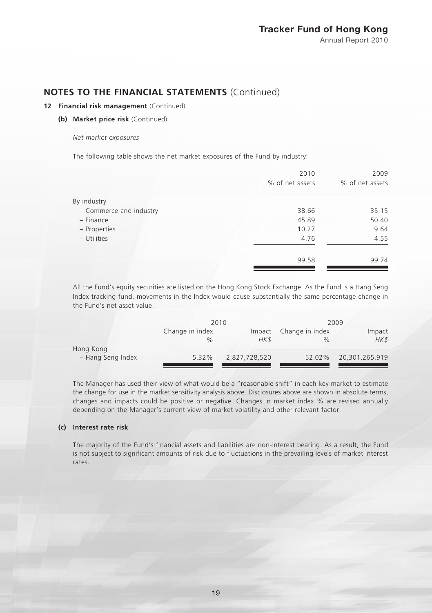#### **12 Financial risk management** (Continued)

#### **(b) Market price risk** (Continued)

#### *Net market exposures*

The following table shows the net market exposures of the Fund by industry:

|                         | 2010            | 2009            |
|-------------------------|-----------------|-----------------|
|                         | % of net assets | % of net assets |
| By industry             |                 |                 |
| - Commerce and industry | 38.66           | 35.15           |
| $-$ Finance             | 45.89           | 50.40           |
| - Properties            | 10.27           | 9.64            |
| - Utilities             | 4.76            | 4.55            |
|                         | 99.58           | 99.74           |
|                         |                 |                 |

All the Fund's equity securities are listed on the Hong Kong Stock Exchange. As the Fund is a Hang Seng Index tracking fund, movements in the Index would cause substantially the same percentage change in the Fund's net asset value.

|                                | 2010                             |               | 2009                           |                |
|--------------------------------|----------------------------------|---------------|--------------------------------|----------------|
|                                | Change in index<br>$\frac{9}{6}$ | HK\$          | Impact Change in index<br>$\%$ | Impact<br>HK\$ |
| Hong Kong<br>- Hang Seng Index | 5.32%                            | 2,827,728,520 | 52.02%                         | 20,301,265,919 |

The Manager has used their view of what would be a "reasonable shift" in each key market to estimate the change for use in the market sensitivity analysis above. Disclosures above are shown in absolute terms, changes and impacts could be positive or negative. Changes in market index % are revised annually depending on the Manager's current view of market volatility and other relevant factor.

#### **(c) Interest rate risk**

The majority of the Fund's financial assets and liabilities are non-interest bearing. As a result, the Fund is not subject to significant amounts of risk due to fluctuations in the prevailing levels of market interest rates.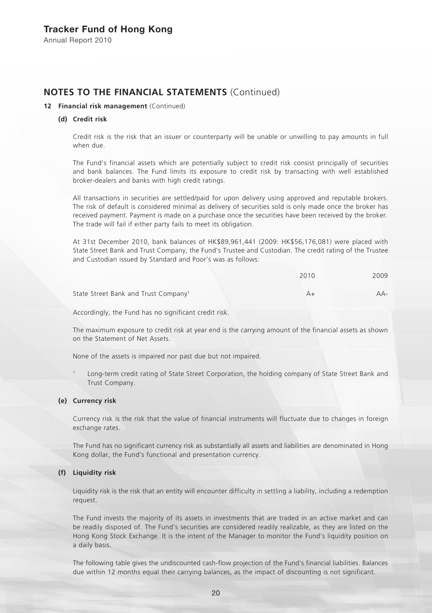### **NOTES TO THE FINANCIAL STATEMENTS** (Continued)

#### **12 Financial risk management** (Continued)

#### **(d) Credit risk**

Credit risk is the risk that an issuer or counterparty will be unable or unwilling to pay amounts in full when due.

The Fund's financial assets which are potentially subject to credit risk consist principally of securities and bank balances. The Fund limits its exposure to credit risk by transacting with well established broker-dealers and banks with high credit ratings.

All transactions in securities are settled/paid for upon delivery using approved and reputable brokers. The risk of default is considered minimal as delivery of securities sold is only made once the broker has received payment. Payment is made on a purchase once the securities have been received by the broker. The trade will fail if either party fails to meet its obligation.

At 31st December 2010, bank balances of HK\$89,961,441 (2009: HK\$56,176,081) were placed with State Street Bank and Trust Company, the Fund's Trustee and Custodian. The credit rating of the Trustee and Custodian issued by Standard and Poor's was as follows:

|                                                  | 2010 | 2009 |
|--------------------------------------------------|------|------|
| State Street Bank and Trust Company <sup>1</sup> | A+   | AA-  |

Accordingly, the Fund has no significant credit risk.

The maximum exposure to credit risk at year end is the carrying amount of the financial assets as shown on the Statement of Net Assets.

None of the assets is impaired nor past due but not impaired.

<sup>1</sup> Long-term credit rating of State Street Corporation, the holding company of State Street Bank and Trust Company.

#### **(e) Currency risk**

Currency risk is the risk that the value of financial instruments will fluctuate due to changes in foreign exchange rates.

The Fund has no significant currency risk as substantially all assets and liabilities are denominated in Hong Kong dollar, the Fund's functional and presentation currency.

#### **(f) Liquidity risk**

Liquidity risk is the risk that an entity will encounter difficulty in settling a liability, including a redemption request.

The Fund invests the majority of its assets in investments that are traded in an active market and can be readily disposed of. The Fund's securities are considered readily realizable, as they are listed on the Hong Kong Stock Exchange. It is the intent of the Manager to monitor the Fund's liquidity position on a daily basis.

The following table gives the undiscounted cash-flow projection of the Fund's financial liabilities. Balances due within 12 months equal their carrying balances, as the impact of discounting is not significant.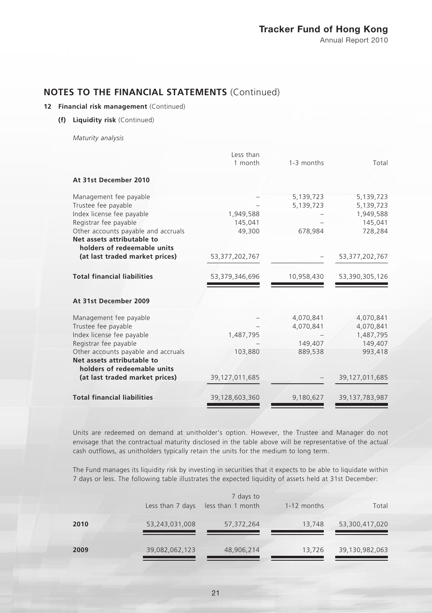### **12 Financial risk management** (Continued)

**(f) Liquidity risk** (Continued)

*Maturity analysis*

|                                                                                                                                                                                                         | Less than                      |                                              |                                                           |
|---------------------------------------------------------------------------------------------------------------------------------------------------------------------------------------------------------|--------------------------------|----------------------------------------------|-----------------------------------------------------------|
|                                                                                                                                                                                                         | 1 month                        | 1-3 months                                   | Total                                                     |
|                                                                                                                                                                                                         |                                |                                              |                                                           |
| At 31st December 2010                                                                                                                                                                                   |                                |                                              |                                                           |
| Management fee payable<br>Trustee fee payable<br>Index license fee payable<br>Registrar fee payable<br>Other accounts payable and accruals<br>Net assets attributable to<br>holders of redeemable units | 1,949,588<br>145,041<br>49,300 | 5,139,723<br>5,139,723<br>678,984            | 5,139,723<br>5,139,723<br>1,949,588<br>145,041<br>728,284 |
| (at last traded market prices)                                                                                                                                                                          | 53,377,202,767                 |                                              | 53,377,202,767                                            |
| <b>Total financial liabilities</b><br>At 31st December 2009                                                                                                                                             | 53,379,346,696                 | 10,958,430                                   | 53,390,305,126                                            |
| Management fee payable<br>Trustee fee payable<br>Index license fee payable<br>Registrar fee payable<br>Other accounts payable and accruals<br>Net assets attributable to                                | 1,487,795<br>103,880           | 4,070,841<br>4,070,841<br>149,407<br>889,538 | 4,070,841<br>4,070,841<br>1,487,795<br>149,407<br>993,418 |
| holders of redeemable units<br>(at last traded market prices)                                                                                                                                           | 39, 127, 011, 685              |                                              | 39,127,011,685                                            |
| <b>Total financial liabilities</b>                                                                                                                                                                      | 39,128,603,360                 | 9,180,627                                    | 39, 137, 783, 987                                         |
|                                                                                                                                                                                                         |                                |                                              |                                                           |

Units are redeemed on demand at unitholder's option. However, the Trustee and Manager do not envisage that the contractual maturity disclosed in the table above will be representative of the actual cash outflows, as unitholders typically retain the units for the medium to long term.

The Fund manages its liquidity risk by investing in securities that it expects to be able to liquidate within 7 days or less. The following table illustrates the expected liquidity of assets held at 31st December:

|      | Less than 7 days | 7 days to<br>less than 1 month | 1-12 months | Total          |
|------|------------------|--------------------------------|-------------|----------------|
| 2010 | 53,243,031,008   | 57,372,264                     | 13,748      | 53,300,417,020 |
| 2009 | 39,082,062,123   | 48,906,214                     | 13,726      | 39,130,982,063 |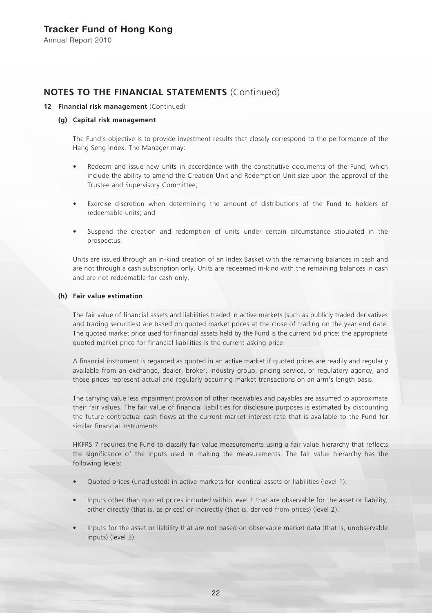### **NOTES TO THE FINANCIAL STATEMENTS** (Continued)

#### **12 Financial risk management** (Continued)

#### **(g) Capital risk management**

The Fund's objective is to provide investment results that closely correspond to the performance of the Hang Seng Index. The Manager may:

- Redeem and issue new units in accordance with the constitutive documents of the Fund, which include the ability to amend the Creation Unit and Redemption Unit size upon the approval of the Trustee and Supervisory Committee;
- Exercise discretion when determining the amount of distributions of the Fund to holders of redeemable units; and
- Suspend the creation and redemption of units under certain circumstance stipulated in the prospectus.

Units are issued through an in-kind creation of an Index Basket with the remaining balances in cash and are not through a cash subscription only. Units are redeemed in-kind with the remaining balances in cash and are not redeemable for cash only.

#### **(h) Fair value estimation**

The fair value of financial assets and liabilities traded in active markets (such as publicly traded derivatives and trading securities) are based on quoted market prices at the close of trading on the year end date. The quoted market price used for financial assets held by the Fund is the current bid price; the appropriate quoted market price for financial liabilities is the current asking price.

A financial instrument is regarded as quoted in an active market if quoted prices are readily and regularly available from an exchange, dealer, broker, industry group, pricing service, or regulatory agency, and those prices represent actual and regularly occurring market transactions on an arm's length basis.

The carrying value less impairment provision of other receivables and payables are assumed to approximate their fair values. The fair value of financial liabilities for disclosure purposes is estimated by discounting the future contractual cash flows at the current market interest rate that is available to the Fund for similar financial instruments.

HKFRS 7 requires the Fund to classify fair value measurements using a fair value hierarchy that reflects the significance of the inputs used in making the measurements. The fair value hierarchy has the following levels:

- Quoted prices (unadjusted) in active markets for identical assets or liabilities (level 1).
- Inputs other than quoted prices included within level 1 that are observable for the asset or liability, either directly (that is, as prices) or indirectly (that is, derived from prices) (level 2).
- Inputs for the asset or liability that are not based on observable market data (that is, unobservable inputs) (level 3).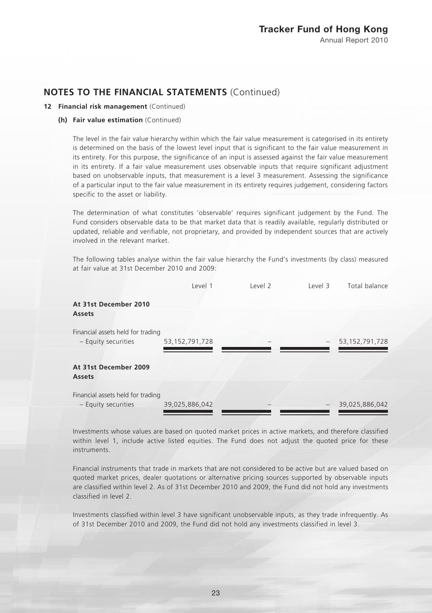#### **12 Financial risk management** (Continued)

#### **(h) Fair value estimation** (Continued)

The level in the fair value hierarchy within which the fair value measurement is categorised in its entirety is determined on the basis of the lowest level input that is significant to the fair value measurement in its entirety. For this purpose, the significance of an input is assessed against the fair value measurement in its entirety. If a fair value measurement uses observable inputs that require significant adjustment based on unobservable inputs, that measurement is a level 3 measurement. Assessing the significance of a particular input to the fair value measurement in its entirety requires judgement, considering factors specific to the asset or liability.

The determination of what constitutes 'observable' requires significant judgement by the Fund. The Fund considers observable data to be that market data that is readily available, regularly distributed or updated, reliable and verifiable, not proprietary, and provided by independent sources that are actively involved in the relevant market.

The following tables analyse within the fair value hierarchy the Fund's investments (by class) measured at fair value at 31st December 2010 and 2009:

|                                                          | Level 1           | Level <sub>2</sub> | Level 3 | Total balance     |
|----------------------------------------------------------|-------------------|--------------------|---------|-------------------|
| At 31st December 2010                                    |                   |                    |         |                   |
| <b>Assets</b>                                            |                   |                    |         |                   |
| Financial assets held for trading                        |                   |                    |         |                   |
| - Equity securities                                      | 53, 152, 791, 728 |                    |         | 53, 152, 791, 728 |
|                                                          |                   |                    |         |                   |
| At 31st December 2009<br><b>Assets</b>                   |                   |                    |         |                   |
|                                                          |                   |                    |         |                   |
| Financial assets held for trading<br>- Equity securities | 39,025,886,042    |                    |         | 39,025,886,042    |

Investments whose values are based on quoted market prices in active markets, and therefore classified within level 1, include active listed equities. The Fund does not adjust the quoted price for these instruments.

Financial instruments that trade in markets that are not considered to be active but are valued based on quoted market prices, dealer quotations or alternative pricing sources supported by observable inputs are classified within level 2. As of 31st December 2010 and 2009, the Fund did not hold any investments classified in level 2.

Investments classified within level 3 have significant unobservable inputs, as they trade infrequently. As of 31st December 2010 and 2009, the Fund did not hold any investments classified in level 3.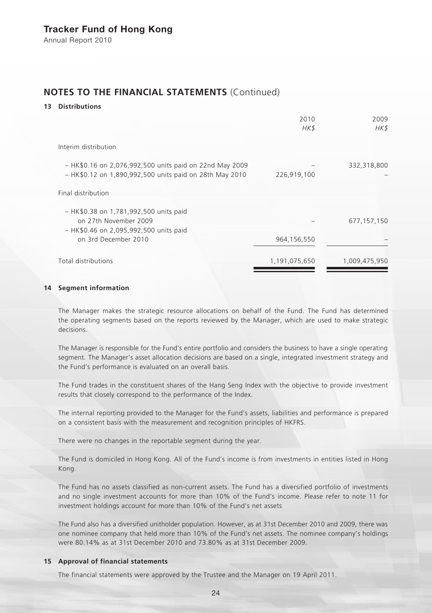### **NOTES TO THE FINANCIAL STATEMENTS** (Continued)

#### **13 Distributions**

|                                                                                                                    | 2010<br>HK\$  | 2009<br>HK\$  |
|--------------------------------------------------------------------------------------------------------------------|---------------|---------------|
| Interim distribution                                                                                               |               |               |
| - HK\$0.16 on 2,076,992,500 units paid on 22nd May 2009<br>- HK\$0.12 on 1,890,992,500 units paid on 28th May 2010 | 226,919,100   | 332,318,800   |
| Final distribution                                                                                                 |               |               |
| - HK\$0.38 on 1,781,992,500 units paid<br>on 27th November 2009<br>- HK\$0.46 on 2,095,992,500 units paid          |               | 677, 157, 150 |
| on 3rd December 2010                                                                                               | 964,156,550   |               |
| Total distributions                                                                                                | 1,191,075,650 | 1,009,475,950 |

#### **14 Segment information**

The Manager makes the strategic resource allocations on behalf of the Fund. The Fund has determined the operating segments based on the reports reviewed by the Manager, which are used to make strategic decisions.

The Manager is responsible for the Fund's entire portfolio and considers the business to have a single operating segment. The Manager's asset allocation decisions are based on a single, integrated investment strategy and the Fund's performance is evaluated on an overall basis.

The Fund trades in the constituent shares of the Hang Seng Index with the objective to provide investment results that closely correspond to the performance of the Index.

The internal reporting provided to the Manager for the Fund's assets, liabilities and performance is prepared on a consistent basis with the measurement and recognition principles of HKFRS.

There were no changes in the reportable segment during the year.

The Fund is domiciled in Hong Kong. All of the Fund's income is from investments in entities listed in Hong Kong.

The Fund has no assets classified as non-current assets. The Fund has a diversified portfolio of investments and no single investment accounts for more than 10% of the Fund's income. Please refer to note 11 for investment holdings account for more than 10% of the Fund's net assets

The Fund also has a diversified unitholder population. However, as at 31st December 2010 and 2009, there was one nominee company that held more than 10% of the Fund's net assets. The nominee company's holdings were 80.14% as at 31st December 2010 and 73.80% as at 31st December 2009.

#### **15 Approval of financial statements**

The financial statements were approved by the Trustee and the Manager on 19 April 2011.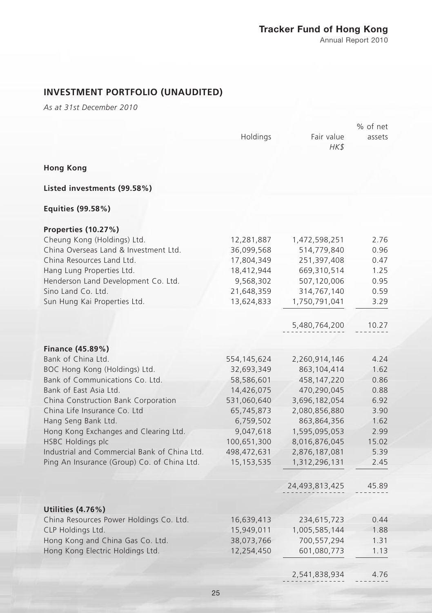### Tracker Fund of Hong Kong

Annual Report 2010

## **INVESTMENT PORTFOLIO (UNAUDITED)**

*As at 31st December 2010*

|                                              |              |                    | % of net |
|----------------------------------------------|--------------|--------------------|----------|
|                                              | Holdings     | Fair value<br>HK\$ | assets   |
| <b>Hong Kong</b>                             |              |                    |          |
| Listed investments (99.58%)                  |              |                    |          |
| Equities (99.58%)                            |              |                    |          |
| Properties (10.27%)                          |              |                    |          |
| Cheung Kong (Holdings) Ltd.                  | 12,281,887   | 1,472,598,251      | 2.76     |
| China Overseas Land & Investment Ltd.        | 36,099,568   | 514,779,840        | 0.96     |
| China Resources Land Ltd.                    | 17,804,349   | 251,397,408        | 0.47     |
| Hang Lung Properties Ltd.                    | 18,412,944   | 669,310,514        | 1.25     |
| Henderson Land Development Co. Ltd.          | 9,568,302    | 507,120,006        | 0.95     |
| Sino Land Co. Ltd.                           | 21,648,359   | 314,767,140        | 0.59     |
| Sun Hung Kai Properties Ltd.                 | 13,624,833   | 1,750,791,041      | 3.29     |
|                                              |              | 5,480,764,200      | 10.27    |
| Finance (45.89%)                             |              |                    |          |
| Bank of China Ltd.                           | 554,145,624  | 2,260,914,146      | 4.24     |
| BOC Hong Kong (Holdings) Ltd.                | 32,693,349   | 863,104,414        | 1.62     |
| Bank of Communications Co. Ltd.              | 58,586,601   | 458,147,220        | 0.86     |
| Bank of East Asia Ltd.                       | 14,426,075   | 470,290,045        | 0.88     |
| China Construction Bank Corporation          | 531,060,640  | 3,696,182,054      | 6.92     |
| China Life Insurance Co. Ltd                 | 65,745,873   | 2,080,856,880      | 3.90     |
| Hang Seng Bank Ltd.                          | 6,759,502    | 863,864,356        | 1.62     |
| Hong Kong Exchanges and Clearing Ltd.        | 9,047,618    | 1,595,095,053      | 2.99     |
| HSBC Holdings plc                            | 100,651,300  | 8,016,876,045      | 15.02    |
| Industrial and Commercial Bank of China Ltd. | 498,472,631  | 2,876,187,081      | 5.39     |
| Ping An Insurance (Group) Co. of China Ltd.  | 15, 153, 535 | 1,312,296,131      | 2.45     |
|                                              |              | 24,493,813,425     | 45.89    |
|                                              |              |                    |          |
| <b>Utilities (4.76%)</b>                     |              |                    |          |
| China Resources Power Holdings Co. Ltd.      | 16,639,413   | 234,615,723        | 0.44     |
| CLP Holdings Ltd.                            | 15,949,011   | 1,005,585,144      | 1.88     |
| Hong Kong and China Gas Co. Ltd.             | 38,073,766   | 700,557,294        | 1.31     |
| Hong Kong Electric Holdings Ltd.             | 12,254,450   | 601,080,773        | 1.13     |
|                                              |              | 2,541,838,934      | 4.76     |
|                                              |              |                    |          |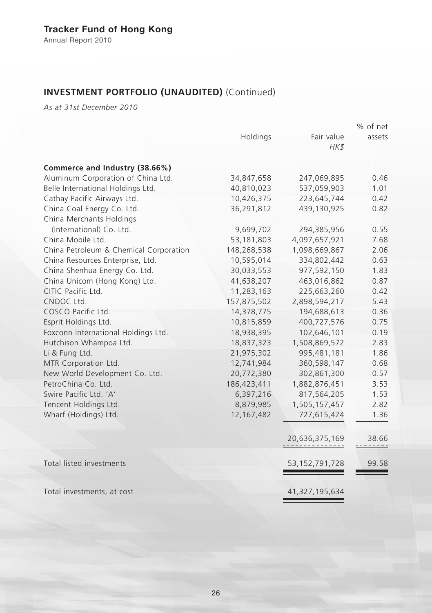## **INVESTMENT PORTFOLIO (UNAUDITED)** (Continued)

*As at 31st December 2010*

|                                        |              |                   | % of net |
|----------------------------------------|--------------|-------------------|----------|
|                                        | Holdings     | Fair value        | assets   |
|                                        |              | HK\$              |          |
|                                        |              |                   |          |
| Commerce and Industry (38.66%)         |              |                   |          |
| Aluminum Corporation of China Ltd.     | 34,847,658   | 247,069,895       | 0.46     |
| Belle International Holdings Ltd.      | 40,810,023   | 537,059,903       | 1.01     |
| Cathay Pacific Airways Ltd.            | 10,426,375   | 223,645,744       | 0.42     |
| China Coal Energy Co. Ltd.             | 36,291,812   | 439,130,925       | 0.82     |
| China Merchants Holdings               |              |                   |          |
| (International) Co. Ltd.               | 9,699,702    | 294,385,956       | 0.55     |
| China Mobile Ltd.                      | 53,181,803   | 4,097,657,921     | 7.68     |
| China Petroleum & Chemical Corporation | 148,268,538  | 1,098,669,867     | 2.06     |
| China Resources Enterprise, Ltd.       | 10,595,014   | 334,802,442       | 0.63     |
| China Shenhua Energy Co. Ltd.          | 30,033,553   | 977,592,150       | 1.83     |
| China Unicom (Hong Kong) Ltd.          | 41,638,207   | 463,016,862       | 0.87     |
| CITIC Pacific Ltd.                     | 11,283,163   | 225,663,260       | 0.42     |
| CNOOC Ltd.                             | 157,875,502  | 2,898,594,217     | 5.43     |
| COSCO Pacific Ltd.                     | 14,378,775   | 194,688,613       | 0.36     |
| Esprit Holdings Ltd.                   | 10,815,859   | 400,727,576       | 0.75     |
| Foxconn International Holdings Ltd.    | 18,938,395   | 102,646,101       | 0.19     |
| Hutchison Whampoa Ltd.                 | 18,837,323   | 1,508,869,572     | 2.83     |
| Li & Fung Ltd.                         | 21,975,302   | 995,481,181       | 1.86     |
| MTR Corporation Ltd.                   | 12,741,984   | 360,598,147       | 0.68     |
| New World Development Co. Ltd.         | 20,772,380   | 302,861,300       | 0.57     |
| PetroChina Co. Ltd.                    | 186,423,411  | 1,882,876,451     | 3.53     |
| Swire Pacific Ltd. 'A'                 | 6,397,216    | 817,564,205       | 1.53     |
| Tencent Holdings Ltd.                  | 8,879,985    | 1,505,157,457     | 2.82     |
| Wharf (Holdings) Ltd.                  | 12, 167, 482 | 727,615,424       | 1.36     |
|                                        |              |                   |          |
|                                        |              | 20,636,375,169    | 38.66    |
|                                        |              |                   |          |
| Total listed investments               |              | 53, 152, 791, 728 | 99.58    |
|                                        |              |                   |          |
| Total investments, at cost             |              | 41,327,195,634    |          |
|                                        |              |                   |          |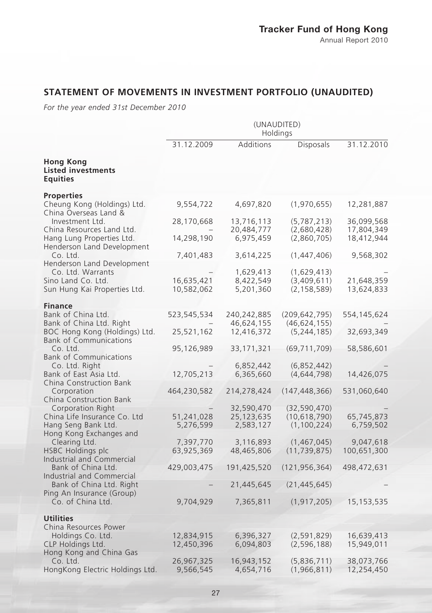### **STATEMENT OF MOVEMENTS IN INVESTMENT PORTFOLIO (UNAUDITED)**

*For the year ended 31st December 2010*

|                                                                                            | (UNAUDITED)<br>Holdings  |                                     |                                             |                          |
|--------------------------------------------------------------------------------------------|--------------------------|-------------------------------------|---------------------------------------------|--------------------------|
|                                                                                            | 31.12.2009               | <b>Additions</b>                    | Disposals                                   | 31.12.2010               |
| <b>Hong Kong</b><br><b>Listed investments</b><br><b>Equities</b>                           |                          |                                     |                                             |                          |
| <b>Properties</b><br>Cheung Kong (Holdings) Ltd.                                           | 9,554,722                | 4,697,820                           | (1,970,655)                                 | 12,281,887               |
| China Overseas Land &<br>Investment Ltd.<br>China Resources Land Ltd.                      | 28,170,668               | 13,716,113<br>20,484,777            | (5,787,213)<br>(2,680,428)                  | 36,099,568<br>17,804,349 |
| Hang Lung Properties Ltd.<br>Henderson Land Development                                    | 14,298,190               | 6,975,459                           | (2,860,705)                                 | 18,412,944               |
| Co. Ltd.<br>Henderson Land Development                                                     | 7,401,483                | 3,614,225                           | (1,447,406)                                 | 9,568,302                |
| Co. Ltd. Warrants<br>Sino Land Co. Ltd.<br>Sun Hung Kai Properties Ltd.                    | 16,635,421<br>10,582,062 | 1,629,413<br>8,422,549<br>5,201,360 | (1,629,413)<br>(3,409,611)<br>(2, 158, 589) | 21,648,359<br>13,624,833 |
| <b>Finance</b><br>Bank of China Ltd.                                                       | 523,545,534              | 240,242,885                         | (209, 642, 795)                             | 554,145,624              |
| Bank of China Ltd. Right<br>BOC Hong Kong (Holdings) Ltd.<br><b>Bank of Communications</b> | 25,521,162               | 46,624,155<br>12,416,372            | (46, 624, 155)<br>(5, 244, 185)             | 32,693,349               |
| Co. Ltd.<br><b>Bank of Communications</b>                                                  | 95,126,989               | 33, 171, 321                        | (69, 711, 709)                              | 58,586,601               |
| Co. Ltd. Right<br>Bank of East Asia Ltd.                                                   | 12,705,213               | 6,852,442<br>6,365,660              | (6,852,442)<br>(4,644,798)                  | 14,426,075               |
| China Construction Bank<br>Corporation<br>China Construction Bank                          | 464,230,582              | 214,278,424                         | (147, 448, 366)                             | 531,060,640              |
| Corporation Right<br>China Life Insurance Co. Ltd                                          | 51,241,028               | 32,590,470<br>25,123,635            | (32, 590, 470)<br>(10,618,790)              | 65,745,873               |
| Hang Seng Bank Ltd.<br>Hong Kong Exchanges and<br>Clearing Ltd.                            | 5,276,599<br>7,397,770   | 2,583,127<br>3,116,893              | (1, 100, 224)<br>(1,467,045)                | 6,759,502<br>9,047,618   |
| <b>HSBC Holdings plc</b><br>Industrial and Commercial                                      | 63,925,369               | 48,465,806                          | (11, 739, 875)                              | 100,651,300              |
| Bank of China Ltd.<br>Industrial and Commercial                                            | 429,003,475              | 191,425,520                         | (121, 956, 364)                             | 498,472,631              |
| Bank of China Ltd. Right<br>Ping An Insurance (Group)                                      |                          | 21,445,645                          | (21, 445, 645)                              |                          |
| Co. of China Ltd.<br><b>Utilities</b>                                                      | 9,704,929                | 7,365,811                           | (1, 917, 205)                               | 15, 153, 535             |
| China Resources Power                                                                      |                          |                                     |                                             |                          |
| Holdings Co. Ltd.<br>CLP Holdings Ltd.<br>Hong Kong and China Gas                          | 12,834,915<br>12,450,396 | 6,396,327<br>6,094,803              | (2, 591, 829)<br>(2, 596, 188)              | 16,639,413<br>15,949,011 |
| Co. Ltd.<br>HongKong Electric Holdings Ltd.                                                | 26,967,325<br>9,566,545  | 16,943,152<br>4,654,716             | (5,836,711)<br>(1,966,811)                  | 38,073,766<br>12,254,450 |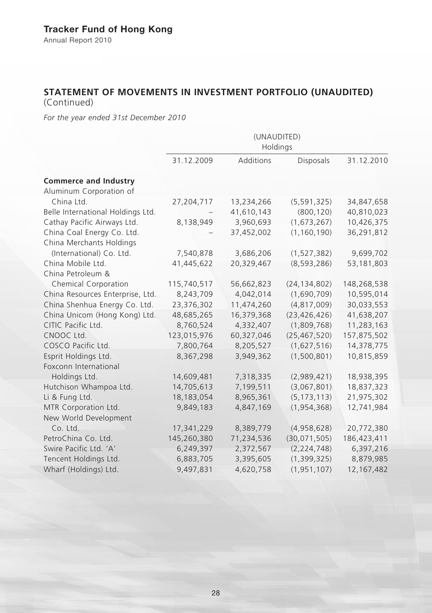### **STATEMENT OF MOVEMENTS IN INVESTMENT PORTFOLIO (UNAUDITED)**  (Continued)

*For the year ended 31st December 2010*

|                                   | (UNAUDITED)<br>Holdings |            |                |              |
|-----------------------------------|-------------------------|------------|----------------|--------------|
|                                   | 31.12.2009              | Additions  | Disposals      | 31.12.2010   |
| <b>Commerce and Industry</b>      |                         |            |                |              |
| Aluminum Corporation of           |                         |            |                |              |
| China Ltd.                        | 27,204,717              | 13,234,266 | (5, 591, 325)  | 34,847,658   |
| Belle International Holdings Ltd. |                         | 41,610,143 | (800, 120)     | 40,810,023   |
| Cathay Pacific Airways Ltd.       | 8,138,949               | 3,960,693  | (1,673,267)    | 10,426,375   |
| China Coal Energy Co. Ltd.        |                         | 37,452,002 | (1, 160, 190)  | 36,291,812   |
| China Merchants Holdings          |                         |            |                |              |
| (International) Co. Ltd.          | 7,540,878               | 3,686,206  | (1, 527, 382)  | 9,699,702    |
| China Mobile Ltd.                 | 41,445,622              | 20,329,467 | (8,593,286)    | 53,181,803   |
| China Petroleum &                 |                         |            |                |              |
| Chemical Corporation              | 115,740,517             | 56,662,823 | (24, 134, 802) | 148,268,538  |
| China Resources Enterprise, Ltd.  | 8,243,709               | 4,042,014  | (1,690,709)    | 10,595,014   |
| China Shenhua Energy Co. Ltd.     | 23,376,302              | 11,474,260 | (4, 817, 009)  | 30,033,553   |
| China Unicom (Hong Kong) Ltd.     | 48,685,265              | 16,379,368 | (23, 426, 426) | 41,638,207   |
| CITIC Pacific Ltd.                | 8,760,524               | 4,332,407  | (1,809,768)    | 11,283,163   |
| CNOOC Ltd.                        | 123,015,976             | 60,327,046 | (25, 467, 520) | 157,875,502  |
| COSCO Pacific Ltd.                | 7,800,764               | 8,205,527  | (1,627,516)    | 14,378,775   |
| Esprit Holdings Ltd.              | 8,367,298               | 3,949,362  | (1,500,801)    | 10,815,859   |
| Foxconn International             |                         |            |                |              |
| Holdings Ltd.                     | 14,609,481              | 7,318,335  | (2,989,421)    | 18,938,395   |
| Hutchison Whampoa Ltd.            | 14,705,613              | 7,199,511  | (3,067,801)    | 18,837,323   |
| Li & Fung Ltd.                    | 18,183,054              | 8,965,361  | (5, 173, 113)  | 21,975,302   |
| MTR Corporation Ltd.              | 9,849,183               | 4,847,169  | (1, 954, 368)  | 12,741,984   |
| New World Development             |                         |            |                |              |
| Co. Ltd.                          | 17,341,229              | 8,389,779  | (4,958,628)    | 20,772,380   |
| PetroChina Co. Ltd.               | 145,260,380             | 71,234,536 | (30,071,505)   | 186,423,411  |
| Swire Pacific Ltd. 'A'            | 6,249,397               | 2,372,567  | (2, 224, 748)  | 6,397,216    |
| Tencent Holdings Ltd.             | 6,883,705               | 3,395,605  | (1, 399, 325)  | 8,879,985    |
| Wharf (Holdings) Ltd.             | 9,497,831               | 4,620,758  | (1, 951, 107)  | 12, 167, 482 |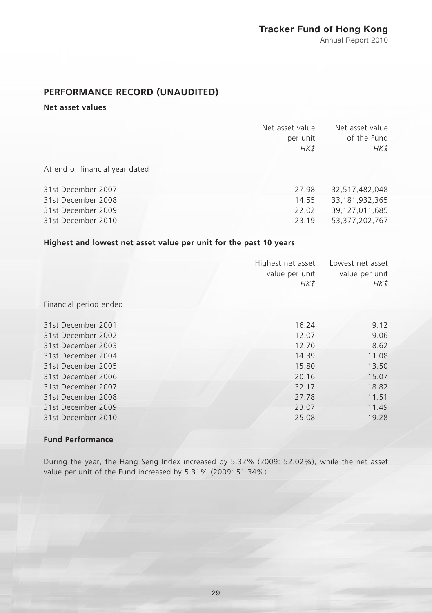## Tracker Fund of Hong Kong

Annual Report 2010

### **PERFORMANCE RECORD (UNAUDITED)**

### **Net asset values**

|                                | Net asset value<br>per unit | Net asset value<br>of the Fund |
|--------------------------------|-----------------------------|--------------------------------|
|                                | HK\$                        | HK\$                           |
| At end of financial year dated |                             |                                |
| 31st December 2007             | 27.98                       | 32,517,482,048                 |
| 31st December 2008             | 14.55                       | 33,181,932,365                 |
| 31st December 2009             | 22.02                       | 39,127,011,685                 |
| 31st December 2010             | 23.19                       | 53,377,202,767                 |

### **Highest and lowest net asset value per unit for the past 10 years**

|                        | Highest net asset<br>value per unit<br>HK\$ | Lowest net asset<br>value per unit<br>HK\$ |
|------------------------|---------------------------------------------|--------------------------------------------|
| Financial period ended |                                             |                                            |
| 31st December 2001     | 16.24                                       | 9.12                                       |
| 31st December 2002     | 12.07                                       | 9.06                                       |
| 31st December 2003     | 12.70                                       | 8.62                                       |
| 31st December 2004     | 14.39                                       | 11.08                                      |
| 31st December 2005     | 15.80                                       | 13.50                                      |
| 31st December 2006     | 20.16                                       | 15.07                                      |
| 31st December 2007     | 32.17                                       | 18.82                                      |
| 31st December 2008     | 27.78                                       | 11.51                                      |
| 31st December 2009     | 23.07                                       | 11.49                                      |
| 31st December 2010     | 25.08                                       | 19.28                                      |
|                        |                                             |                                            |

#### **Fund Performance**

During the year, the Hang Seng Index increased by 5.32% (2009: 52.02%), while the net asset value per unit of the Fund increased by 5.31% (2009: 51.34%).